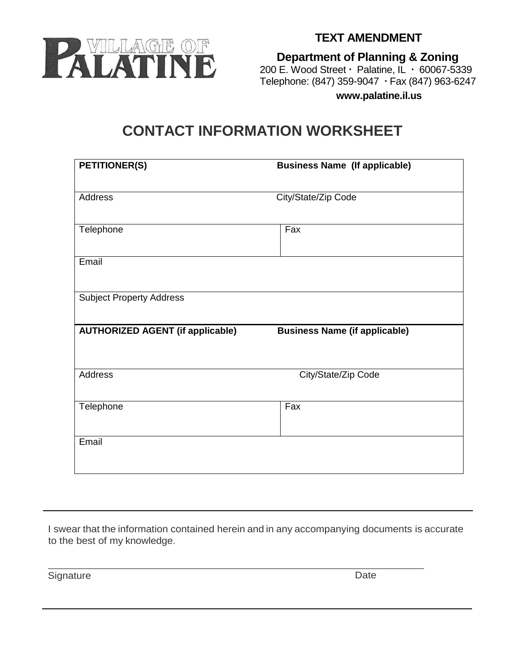

**Department of Planning & Zoning** 200 E. Wood Street  $\cdot$  Palatine, IL  $\cdot$  60067-5339 Telephone: (847) 359-9047 Fax (847) 963-6247

**www.palatine.il.us**

## **CONTACT INFORMATION WORKSHEET**

| <b>PETITIONER(S)</b>                    | <b>Business Name (If applicable)</b> |
|-----------------------------------------|--------------------------------------|
| Address                                 | City/State/Zip Code                  |
| Telephone                               | Fax                                  |
| Email                                   |                                      |
| <b>Subject Property Address</b>         |                                      |
| <b>AUTHORIZED AGENT (if applicable)</b> | <b>Business Name (if applicable)</b> |
| <b>Address</b>                          | City/State/Zip Code                  |
| Telephone                               | Fax                                  |
| Email                                   |                                      |

I swear that the information contained herein and in any accompanying documents is accurate to the best of my knowledge.

Signature Date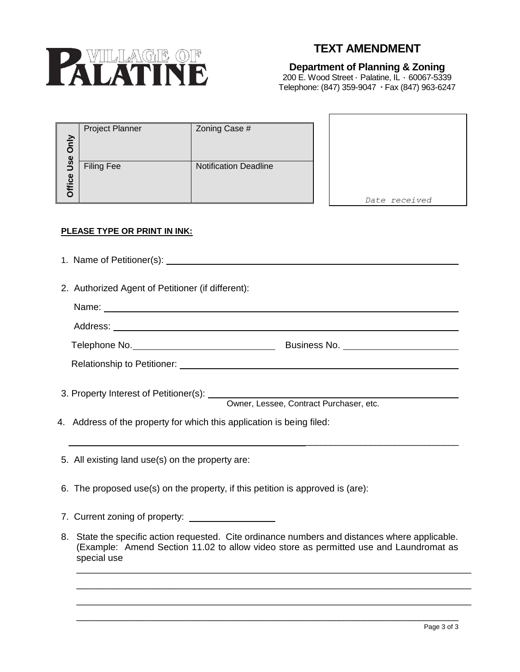

## **TEXT AMENDMENT**

## **Department of Planning & Zoning**

200 E. Wood Street · Palatine, IL · 60067-5339 Telephone: (847) 359-9047 Fax (847) 963-6247

 $\blacksquare$ 

| $\geq$<br>O<br>$\overline{\mathbf{e}}$ | Project Planner   | Zoning Case #                |               |
|----------------------------------------|-------------------|------------------------------|---------------|
| ∍<br>Office                            | <b>Filing Fee</b> | <b>Notification Deadline</b> | Date received |

## **PLEASE TYPE OR PRINT IN INK:**

| 2. Authorized Agent of Petitioner (if different):                     |                                         |  |  |  |
|-----------------------------------------------------------------------|-----------------------------------------|--|--|--|
|                                                                       |                                         |  |  |  |
|                                                                       |                                         |  |  |  |
|                                                                       |                                         |  |  |  |
|                                                                       |                                         |  |  |  |
|                                                                       |                                         |  |  |  |
|                                                                       |                                         |  |  |  |
|                                                                       | Owner, Lessee, Contract Purchaser, etc. |  |  |  |
| 4. Address of the property for which this application is being filed: |                                         |  |  |  |
|                                                                       |                                         |  |  |  |
|                                                                       |                                         |  |  |  |

5. All existing land use(s) on the property are:

- 6. The proposed use(s) on the property, if this petition is approved is (are):
- 7. Current zoning of property:
- 8. State the specific action requested. Cite ordinance numbers and distances where applicable. (Example: Amend Section 11.02 to allow video store as permitted use and Laundromat as special use

\_\_\_\_\_\_\_\_\_\_\_\_\_\_\_\_\_\_\_\_\_\_\_\_\_\_\_\_\_\_\_\_\_\_\_\_\_\_\_\_\_\_\_\_\_\_\_\_\_\_\_\_\_\_\_\_\_\_\_\_\_\_\_\_\_\_\_\_\_\_\_\_\_\_\_\_ \_\_\_\_\_\_\_\_\_\_\_\_\_\_\_\_\_\_\_\_\_\_\_\_\_\_\_\_\_\_\_\_\_\_\_\_\_\_\_\_\_\_\_\_\_\_\_\_\_\_\_\_\_\_\_\_\_\_\_\_\_\_\_\_\_\_\_\_\_\_\_\_\_\_\_\_ \_\_\_\_\_\_\_\_\_\_\_\_\_\_\_\_\_\_\_\_\_\_\_\_\_\_\_\_\_\_\_\_\_\_\_\_\_\_\_\_\_\_\_\_\_\_\_\_\_\_\_\_\_\_\_\_\_\_\_\_\_\_\_\_\_\_\_\_\_\_\_\_\_\_\_\_

\_\_\_\_\_\_\_\_\_\_\_\_\_\_\_\_\_\_\_\_\_\_\_\_\_\_\_\_\_\_\_\_\_\_\_\_\_\_\_\_\_\_\_\_\_\_\_\_\_\_\_\_\_\_\_\_\_\_\_\_\_\_\_\_\_\_\_\_\_\_\_\_\_\_\_\_